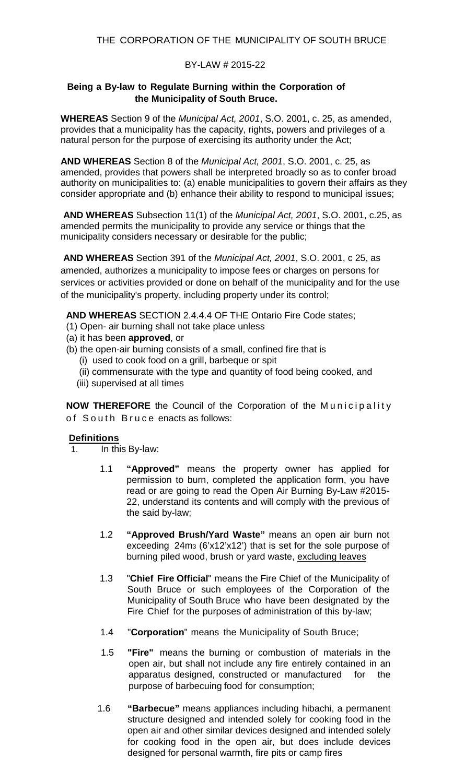#### BY-LAW # 2015-22

#### **Being a By-law to Regulate Burning within the Corporation of the Municipality of South Bruce.**

**WHEREAS** Section 9 of the *Municipal Act, 2001*, S.O. 2001, c. 25, as amended, provides that a municipality has the capacity, rights, powers and privileges of a natural person for the purpose of exercising its authority under the Act;

**AND WHEREAS** Section 8 of the *Municipal Act, 2001*, S.O. 2001, c. 25, as amended, provides that powers shall be interpreted broadly so as to confer broad authority on municipalities to: (a) enable municipalities to govern their affairs as they consider appropriate and (b) enhance their ability to respond to municipal issues;

**AND WHEREAS** Subsection 11(1) of the *Municipal Act, 2001*, S.O. 2001, c.25, as amended permits the municipality to provide any service or things that the municipality considers necessary or desirable for the public;

**AND WHEREAS** Section 391 of the *Municipal Act, 2001*, S.O. 2001, c 25, as amended, authorizes a municipality to impose fees or charges on persons for services or activities provided or done on behalf of the municipality and for the use of the municipality's property, including property under its control;

**AND WHEREAS** SECTION 2.4.4.4 OF THE Ontario Fire Code states;

- (1) Open- air burning shall not take place unless
- (a) it has been **approved**, or
- (b) the open-air burning consists of a small, confined fire that is
	- (i) used to cook food on a grill, barbeque or spit
	- (ii) commensurate with the type and quantity of food being cooked, and
	- (iii) supervised at all times

**NOW THEREFORE** the Council of the Corporation of the Municipality of South Bruce enacts as follows:

#### **Definitions**

- 1. In this By-law:
	- 1.1 **"Approved"** means the property owner has applied for permission to burn, completed the application form, you have read or are going to read the Open Air Burning By-Law #2015- 22, understand its contents and will comply with the previous of the said by-law;
	- 1.2 **"Approved Brush/Yard Waste"** means an open air burn not exceeding 24m3 (6'x12'x12') that is set for the sole purpose of burning piled wood, brush or yard waste, excluding leaves
	- 1.3 "**Chief Fire Official**" means the Fire Chief of the Municipality of South Bruce or such employees of the Corporation of the Municipality of South Bruce who have been designated by the Fire Chief for the purposes of administration of this by-law;
	- 1.4 "**Corporation**" means the Municipality of South Bruce;
	- 1.5 **"Fire"** means the burning or combustion of materials in the open air, but shall not include any fire entirely contained in an apparatus designed, constructed or manufactured for the purpose of barbecuing food for consumption;
	- 1.6 **"Barbecue"** means appliances including hibachi, a permanent structure designed and intended solely for cooking food in the open air and other similar devices designed and intended solely for cooking food in the open air, but does include devices designed for personal warmth, fire pits or camp fires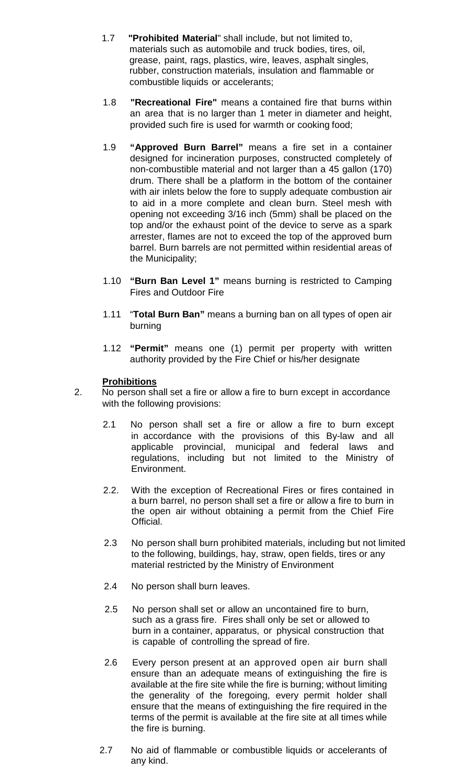- 1.7 **"Prohibited Material**" shall include, but not limited to, materials such as automobile and truck bodies, tires, oil, grease, paint, rags, plastics, wire, leaves, asphalt singles, rubber, construction materials, insulation and flammable or combustible liquids or accelerants;
- 1.8 **"Recreational Fire"** means a contained fire that burns within an area that is no larger than 1 meter in diameter and height, provided such fire is used for warmth or cooking food;
- 1.9 **"Approved Burn Barrel"** means a fire set in a container designed for incineration purposes, constructed completely of non-combustible material and not larger than a 45 gallon (170) drum. There shall be a platform in the bottom of the container with air inlets below the fore to supply adequate combustion air to aid in a more complete and clean burn. Steel mesh with opening not exceeding 3/16 inch (5mm) shall be placed on the top and/or the exhaust point of the device to serve as a spark arrester, flames are not to exceed the top of the approved burn barrel. Burn barrels are not permitted within residential areas of the Municipality;
- 1.10 **"Burn Ban Level 1"** means burning is restricted to Camping Fires and Outdoor Fire
- 1.11 "**Total Burn Ban"** means a burning ban on all types of open air burning
- 1.12 **"Permit"** means one (1) permit per property with written authority provided by the Fire Chief or his/her designate

### **Prohibitions**

- 2. No person shall set a fire or allow a fire to burn except in accordance with the following provisions:
	- 2.1 No person shall set a fire or allow a fire to burn except in accordance with the provisions of this By-law and all applicable provincial, municipal and federal laws and regulations, including but not limited to the Ministry of Environment.
	- 2.2. With the exception of Recreational Fires or fires contained in a burn barrel, no person shall set a fire or allow a fire to burn in the open air without obtaining a permit from the Chief Fire Official.
	- 2.3 No person shall burn prohibited materials, including but not limited to the following, buildings, hay, straw, open fields, tires or any material restricted by the Ministry of Environment
	- 2.4 No person shall burn leaves.
	- 2.5 No person shall set or allow an uncontained fire to burn, such as a grass fire. Fires shall only be set or allowed to burn in a container, apparatus, or physical construction that is capable of controlling the spread of fire.
	- 2.6 Every person present at an approved open air burn shall ensure than an adequate means of extinguishing the fire is available at the fire site while the fire is burning; without limiting the generality of the foregoing, every permit holder shall ensure that the means of extinguishing the fire required in the terms of the permit is available at the fire site at all times while the fire is burning.
	- 2.7 No aid of flammable or combustible liquids or accelerants of any kind.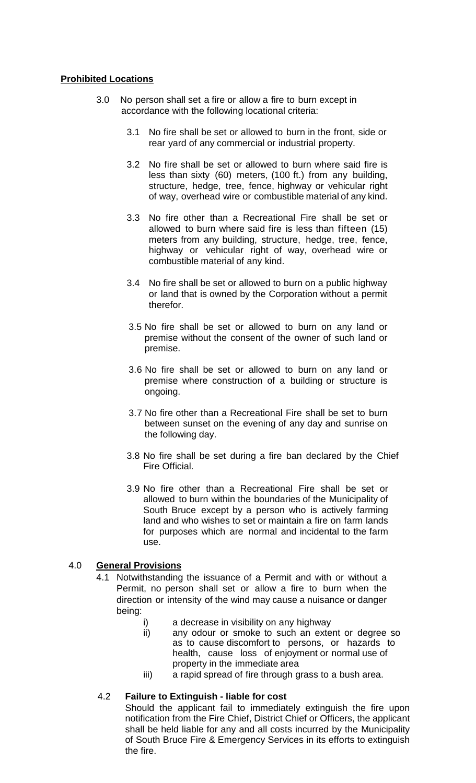### **Prohibited Locations**

- 3.0 No person shall set a fire or allow a fire to burn except in accordance with the following locational criteria:
	- 3.1 No fire shall be set or allowed to burn in the front, side or rear yard of any commercial or industrial property.
	- 3.2 No fire shall be set or allowed to burn where said fire is less than sixty (60) meters, (100 ft.) from any building, structure, hedge, tree, fence, highway or vehicular right of way, overhead wire or combustible material of any kind.
	- 3.3 No fire other than a Recreational Fire shall be set or allowed to burn where said fire is less than fifteen (15) meters from any building, structure, hedge, tree, fence, highway or vehicular right of way, overhead wire or combustible material of any kind.
	- 3.4 No fire shall be set or allowed to burn on a public highway or land that is owned by the Corporation without a permit therefor.
	- 3.5 No fire shall be set or allowed to burn on any land or premise without the consent of the owner of such land or premise.
	- 3.6 No fire shall be set or allowed to burn on any land or premise where construction of a building or structure is ongoing.
	- 3.7 No fire other than a Recreational Fire shall be set to burn between sunset on the evening of any day and sunrise on the following day.
	- 3.8 No fire shall be set during a fire ban declared by the Chief Fire Official.
	- 3.9 No fire other than a Recreational Fire shall be set or allowed to burn within the boundaries of the Municipality of South Bruce except by a person who is actively farming land and who wishes to set or maintain a fire on farm lands for purposes which are normal and incidental to the farm use.

### 4.0 **General Provisions**

- 4.1 Notwithstanding the issuance of a Permit and with or without a Permit, no person shall set or allow a fire to burn when the direction or intensity of the wind may cause a nuisance or danger being:
	- i) a decrease in visibility on any highway<br>ii) any odour or smoke to such an exte
	- any odour or smoke to such an extent or degree so as to cause discomfort to persons, or hazards to health, cause loss of enjoyment or normal use of property in the immediate area
	- iii) a rapid spread of fire through grass to a bush area.

### 4.2 **Failure to Extinguish - liable for cost**

Should the applicant fail to immediately extinguish the fire upon notification from the Fire Chief, District Chief or Officers, the applicant shall be held liable for any and all costs incurred by the Municipality of South Bruce Fire & Emergency Services in its efforts to extinguish the fire.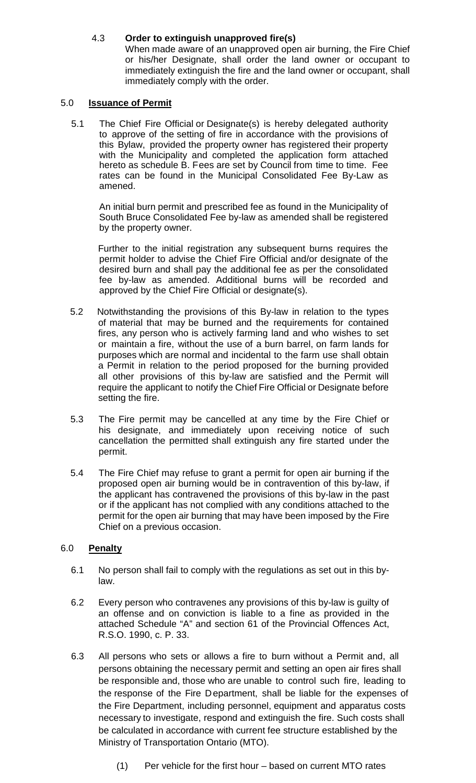## 4.3 **Order to extinguish unapproved fire(s)**

When made aware of an unapproved open air burning, the Fire Chief or his/her Designate, shall order the land owner or occupant to immediately extinguish the fire and the land owner or occupant, shall immediately comply with the order.

#### 5.0 **Issuance of Permit**

5.1 The Chief Fire Official or Designate(s) is hereby delegated authority to approve of the setting of fire in accordance with the provisions of this Bylaw, provided the property owner has registered their property with the Municipality and completed the application form attached hereto as schedule B. Fees are set by Council from time to time. Fee rates can be found in the Municipal Consolidated Fee By-Law as amened.

An initial burn permit and prescribed fee as found in the Municipality of South Bruce Consolidated Fee by-law as amended shall be registered by the property owner.

Further to the initial registration any subsequent burns requires the permit holder to advise the Chief Fire Official and/or designate of the desired burn and shall pay the additional fee as per the consolidated fee by-law as amended. Additional burns will be recorded and approved by the Chief Fire Official or designate(s).

- 5.2 Notwithstanding the provisions of this By-law in relation to the types of material that may be burned and the requirements for contained fires, any person who is actively farming land and who wishes to set or maintain a fire, without the use of a burn barrel, on farm lands for purposes which are normal and incidental to the farm use shall obtain a Permit in relation to the period proposed for the burning provided all other provisions of this by-law are satisfied and the Permit will require the applicant to notify the Chief Fire Official or Designate before setting the fire.
- 5.3 The Fire permit may be cancelled at any time by the Fire Chief or his designate, and immediately upon receiving notice of such cancellation the permitted shall extinguish any fire started under the permit.
- 5.4 The Fire Chief may refuse to grant a permit for open air burning if the proposed open air burning would be in contravention of this by-law, if the applicant has contravened the provisions of this by-law in the past or if the applicant has not complied with any conditions attached to the permit for the open air burning that may have been imposed by the Fire Chief on a previous occasion.

### 6.0 **Penalty**

- 6.1 No person shall fail to comply with the regulations as set out in this bylaw.
- 6.2 Every person who contravenes any provisions of this by-law is guilty of an offense and on conviction is liable to a fine as provided in the attached Schedule "A" and section 61 of the Provincial Offences Act, R.S.O. 1990, c. P. 33.
- 6.3 All persons who sets or allows a fire to burn without a Permit and, all persons obtaining the necessary permit and setting an open air fires shall be responsible and, those who are unable to control such fire, leading to the response of the Fire Department, shall be liable for the expenses of the Fire Department, including personnel, equipment and apparatus costs necessary to investigate, respond and extinguish the fire. Such costs shall be calculated in accordance with current fee structure established by the Ministry of Transportation Ontario (MTO).
	- (1) Per vehicle for the first hour based on current MTO rates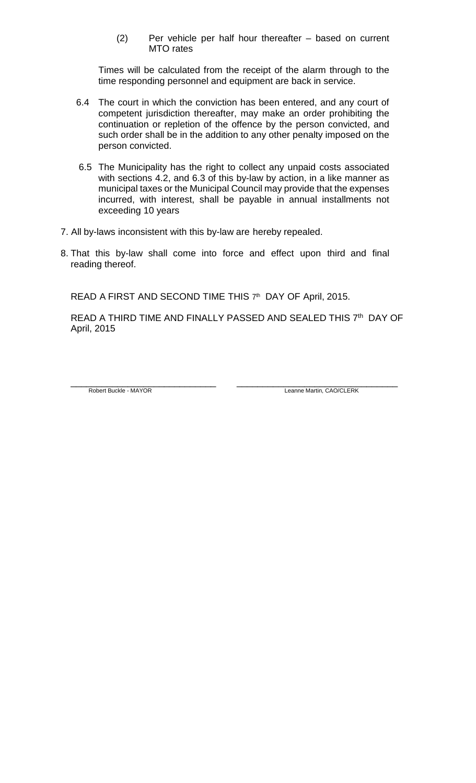(2) Per vehicle per half hour thereafter – based on current MTO rates

Times will be calculated from the receipt of the alarm through to the time responding personnel and equipment are back in service.

- 6.4 The court in which the conviction has been entered, and any court of competent jurisdiction thereafter, may make an order prohibiting the continuation or repletion of the offence by the person convicted, and such order shall be in the addition to any other penalty imposed on the person convicted.
- 6.5 The Municipality has the right to collect any unpaid costs associated with sections 4.2, and 6.3 of this by-law by action, in a like manner as municipal taxes or the Municipal Council may provide that the expenses incurred, with interest, shall be payable in annual installments not exceeding 10 years
- 7. All by-laws inconsistent with this by-law are hereby repealed.
- 8. That this by-law shall come into force and effect upon third and final reading thereof.

READ A FIRST AND SECOND TIME THIS 7<sup>th</sup> DAY OF April, 2015.

READ A THIRD TIME AND FINALLY PASSED AND SEALED THIS 7<sup>th</sup> DAY OF April, 2015

\_\_\_\_\_\_\_\_\_\_\_\_\_\_\_\_\_\_\_\_\_\_\_\_\_\_\_\_ \_\_\_\_\_\_\_\_\_\_\_\_\_\_\_\_\_\_\_\_\_\_\_\_\_\_\_\_\_\_\_

Robert Buckle - MAYOR Leanne Martin, CAO/CLERK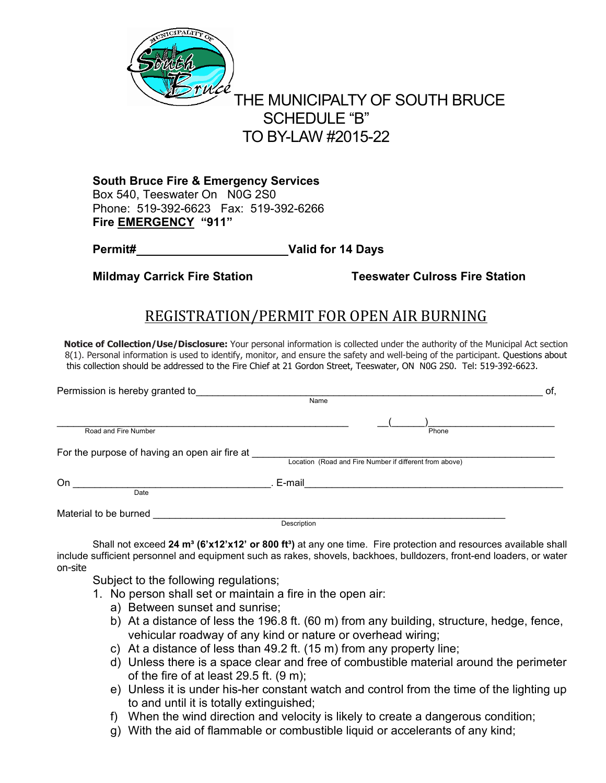

# THE MUNICIPALTY OF SOUTH BRUCE SCHEDULE "B" TO BY-LAW #2015-22

 Phone: 519-392-6623 Fax: 519-392-6266  **Fire EMERGENCY "911" South Bruce Fire & Emergency Services**  Box 540, Teeswater On N0G 2S0

**Permit# Valid for 14 Days** 

**Mildmay Carrick Fire Station Teeswater Culross Fire Station** 

# REGISTRATION/PERMIT FOR OPEN AIR BURNING

 this collection should be addressed to the Fire Chief at 21 Gordon Street, Teeswater, ON N0G 2S0. Tel: 519-392-6623. **Notice of Collection/Use/Disclosure:** Your personal information is collected under the authority of the Municipal Act section 8(1). Personal information is used to identify, monitor, and ensure the safety and well-being of the participant. Questions about

| Permission is hereby granted to               |                                                         | оf |
|-----------------------------------------------|---------------------------------------------------------|----|
|                                               | Name                                                    |    |
| Road and Fire Number                          | Phone                                                   |    |
| For the purpose of having an open air fire at | Location (Road and Fire Number if different from above) |    |
| On<br>Date                                    | . E-mail                                                |    |
| Material to be burned                         | Description                                             |    |

Shall not exceed 24 m<sup>3</sup> (6'x12'x12' or 800 ft<sup>3</sup>) at any one time. Fire protection and resources available shall include sufficient personnel and equipment such as rakes, shovels, backhoes, bulldozers, front-end loaders, or water on-site

Subject to the following regulations;

- 1. No person shall set or maintain a fire in the open air:
	- a) Between sunset and sunrise;
	- b) At a distance of less the 196.8 ft. (60 m) from any building, structure, hedge, fence, vehicular roadway of any kind or nature or overhead wiring;
	- c) At a distance of less than 49.2 ft. (15 m) from any property line;
	- d) Unless there is a space clear and free of combustible material around the perimeter of the fire of at least 29.5 ft. (9 m);
	- e) Unless it is under his-her constant watch and control from the time of the lighting up to and until it is totally extinguished;
	- f) When the wind direction and velocity is likely to create a dangerous condition;
	- g) With the aid of flammable or combustible liquid or accelerants of any kind;